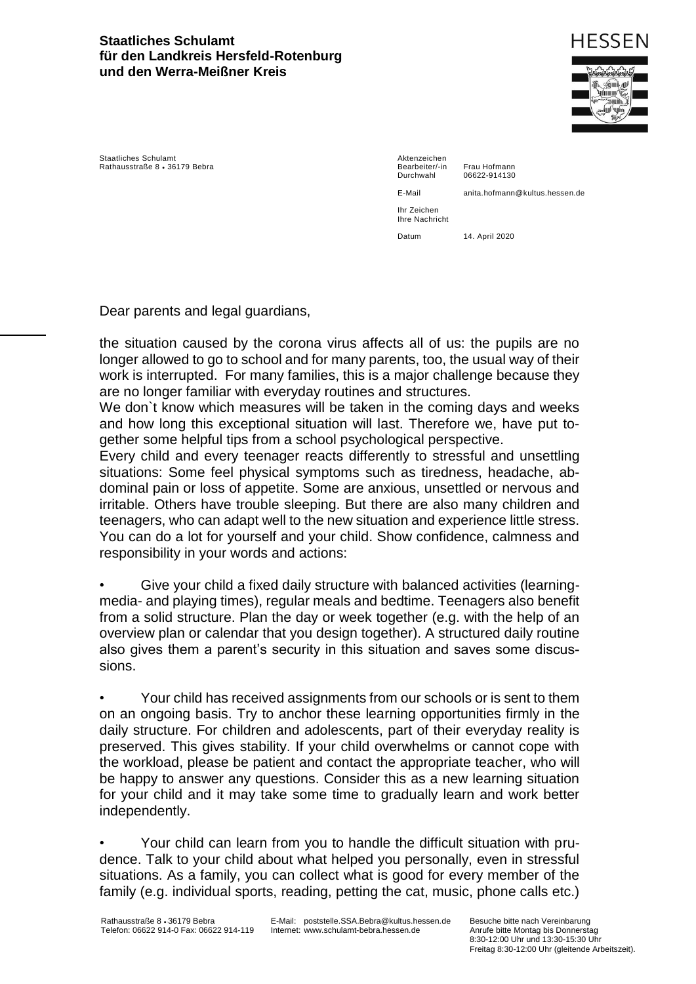## **Staatliches Schulamt für den Landkreis Hersfeld-Rotenburg und den Werra-Meißner Kreis**



Staatliches Schulamt Rathausstraße 8 · 36179 Bebra

Aktenzeichen Bearbeiter/-in Frau Hofmann<br>Durchwahl 06622-914130

06622-914130

E-Mail anita.hofmann@kultus.hessen.de

Ihr Zeichen Ihre Nachricht Datum 14. April 2020

Dear parents and legal guardians,

the situation caused by the corona virus affects all of us: the pupils are no longer allowed to go to school and for many parents, too, the usual way of their work is interrupted. For many families, this is a major challenge because they are no longer familiar with everyday routines and structures.

We don`t know which measures will be taken in the coming days and weeks and how long this exceptional situation will last. Therefore we, have put together some helpful tips from a school psychological perspective.

Every child and every teenager reacts differently to stressful and unsettling situations: Some feel physical symptoms such as tiredness, headache, abdominal pain or loss of appetite. Some are anxious, unsettled or nervous and irritable. Others have trouble sleeping. But there are also many children and teenagers, who can adapt well to the new situation and experience little stress. You can do a lot for yourself and your child. Show confidence, calmness and responsibility in your words and actions:

• Give your child a fixed daily structure with balanced activities (learningmedia- and playing times), regular meals and bedtime. Teenagers also benefit from a solid structure. Plan the day or week together (e.g. with the help of an overview plan or calendar that you design together). A structured daily routine also gives them a parent's security in this situation and saves some discussions.

• Your child has received assignments from our schools or is sent to them on an ongoing basis. Try to anchor these learning opportunities firmly in the daily structure. For children and adolescents, part of their everyday reality is preserved. This gives stability. If your child overwhelms or cannot cope with the workload, please be patient and contact the appropriate teacher, who will be happy to answer any questions. Consider this as a new learning situation for your child and it may take some time to gradually learn and work better independently.

• Your child can learn from you to handle the difficult situation with prudence. Talk to your child about what helped you personally, even in stressful situations. As a family, you can collect what is good for every member of the family (e.g. individual sports, reading, petting the cat, music, phone calls etc.)

E-Mail: poststelle.SSA.Bebra@kultus.hessen.de Internet: www.schulamt-bebra.hessen.de